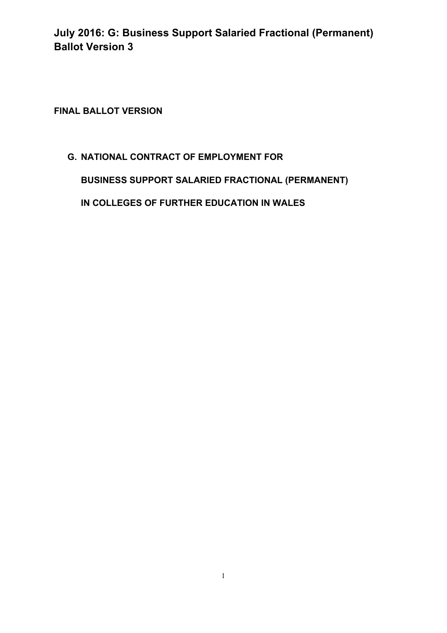**FINAL BALLOT VERSION** 

## **G. NATIONAL CONTRACT OF EMPLOYMENT FOR**

**BUSINESS SUPPORT SALARIED FRACTIONAL (PERMANENT)**

**IN COLLEGES OF FURTHER EDUCATION IN WALES**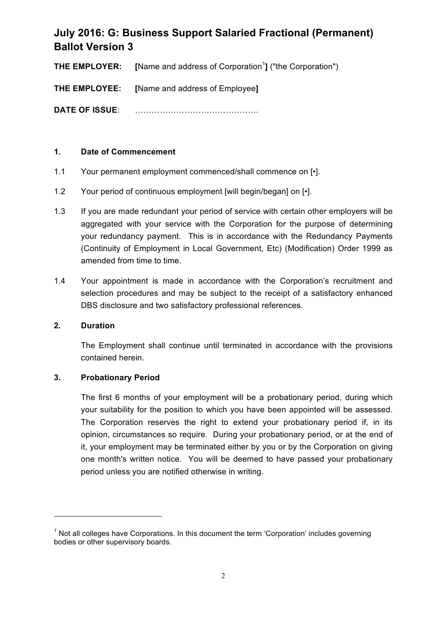**THE EMPLOYER:** [Name and address of Corporation<sup>1</sup>] ("the Corporation")

**THE EMPLOYEE: [**Name and address of Employee**]**

**DATE OF ISSUE**: ………………………………………

## **1. Date of Commencement**

- 1.1 Your permanent employment commenced/shall commence on [•].
- 1.2 Your period of continuous employment [will begin/began] on [•].
- 1.3 If you are made redundant your period of service with certain other employers will be aggregated with your service with the Corporation for the purpose of determining your redundancy payment. This is in accordance with the Redundancy Payments (Continuity of Employment in Local Government, Etc) (Modification) Order 1999 as amended from time to time.
- 1.4 Your appointment is made in accordance with the Corporation's recruitment and selection procedures and may be subject to the receipt of a satisfactory enhanced DBS disclosure and two satisfactory professional references.

### **2. Duration**

The Employment shall continue until terminated in accordance with the provisions contained herein.

### **3. Probationary Period**

<u> 1989 - Jan Samuel Barbara, margaret e</u>

The first 6 months of your employment will be a probationary period, during which your suitability for the position to which you have been appointed will be assessed. The Corporation reserves the right to extend your probationary period if, in its opinion, circumstances so require. During your probationary period, or at the end of it, your employment may be terminated either by you or by the Corporation on giving one month's written notice. You will be deemed to have passed your probationary period unless you are notified otherwise in writing.

 $<sup>1</sup>$  Not all colleges have Corporations. In this document the term 'Corporation' includes governing</sup> bodies or other supervisory boards.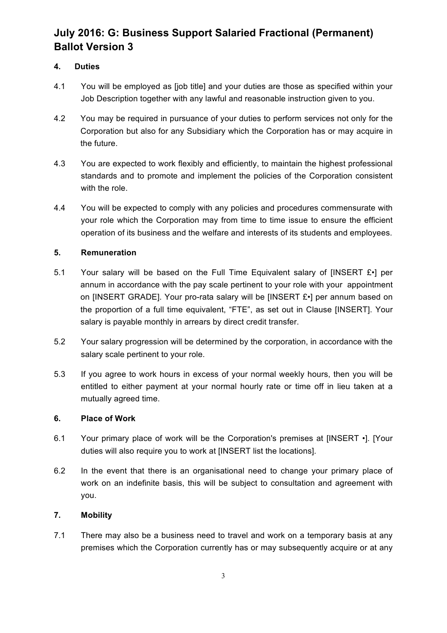## **4. Duties**

- 4.1 You will be employed as [job title] and your duties are those as specified within your Job Description together with any lawful and reasonable instruction given to you.
- 4.2 You may be required in pursuance of your duties to perform services not only for the Corporation but also for any Subsidiary which the Corporation has or may acquire in the future.
- 4.3 You are expected to work flexibly and efficiently, to maintain the highest professional standards and to promote and implement the policies of the Corporation consistent with the role.
- 4.4 You will be expected to comply with any policies and procedures commensurate with your role which the Corporation may from time to time issue to ensure the efficient operation of its business and the welfare and interests of its students and employees.

## **5. Remuneration**

- 5.1 Your salary will be based on the Full Time Equivalent salary of [INSERT £•] per annum in accordance with the pay scale pertinent to your role with your appointment on [INSERT GRADE]. Your pro-rata salary will be [INSERT £•] per annum based on the proportion of a full time equivalent, "FTE", as set out in Clause [INSERT]. Your salary is payable monthly in arrears by direct credit transfer.
- 5.2 Your salary progression will be determined by the corporation, in accordance with the salary scale pertinent to your role.
- 5.3 If you agree to work hours in excess of your normal weekly hours, then you will be entitled to either payment at your normal hourly rate or time off in lieu taken at a mutually agreed time.

### **6. Place of Work**

- 6.1 Your primary place of work will be the Corporation's premises at [INSERT •]. [Your duties will also require you to work at [INSERT list the locations].
- 6.2 In the event that there is an organisational need to change your primary place of work on an indefinite basis, this will be subject to consultation and agreement with you.

## **7. Mobility**

7.1 There may also be a business need to travel and work on a temporary basis at any premises which the Corporation currently has or may subsequently acquire or at any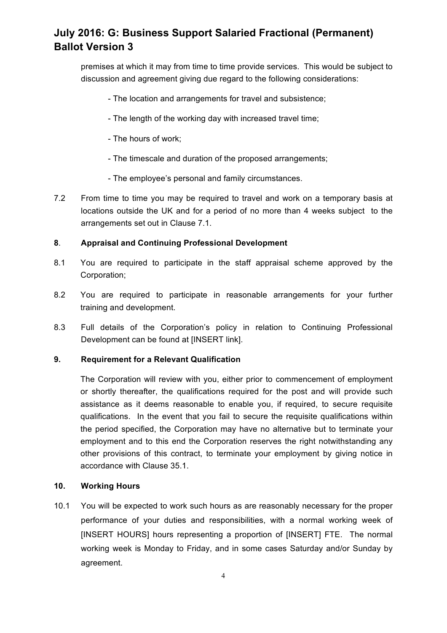premises at which it may from time to time provide services. This would be subject to discussion and agreement giving due regard to the following considerations:

- The location and arrangements for travel and subsistence;
- The length of the working day with increased travel time;
- The hours of work;
- The timescale and duration of the proposed arrangements;
- The employee's personal and family circumstances.
- 7.2 From time to time you may be required to travel and work on a temporary basis at locations outside the UK and for a period of no more than 4 weeks subject to the arrangements set out in Clause 7.1.

#### **8**. **Appraisal and Continuing Professional Development**

- 8.1 You are required to participate in the staff appraisal scheme approved by the Corporation;
- 8.2 You are required to participate in reasonable arrangements for your further training and development.
- 8.3 Full details of the Corporation's policy in relation to Continuing Professional Development can be found at [INSERT link].

### **9. Requirement for a Relevant Qualification**

The Corporation will review with you, either prior to commencement of employment or shortly thereafter, the qualifications required for the post and will provide such assistance as it deems reasonable to enable you, if required, to secure requisite qualifications. In the event that you fail to secure the requisite qualifications within the period specified, the Corporation may have no alternative but to terminate your employment and to this end the Corporation reserves the right notwithstanding any other provisions of this contract, to terminate your employment by giving notice in accordance with Clause 35.1.

#### **10. Working Hours**

10.1 You will be expected to work such hours as are reasonably necessary for the proper performance of your duties and responsibilities, with a normal working week of [INSERT HOURS] hours representing a proportion of [INSERT] FTE. The normal working week is Monday to Friday, and in some cases Saturday and/or Sunday by agreement.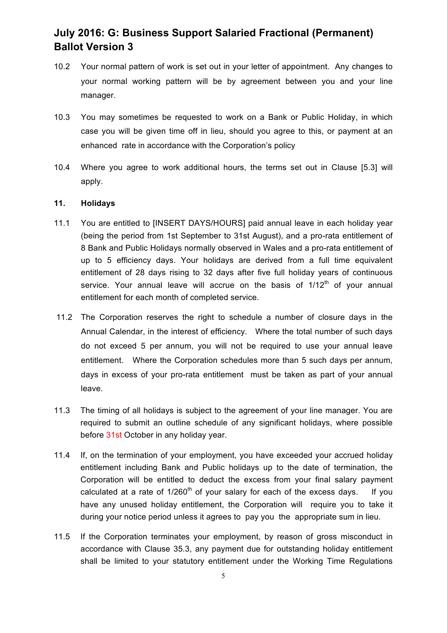- 10.2 Your normal pattern of work is set out in your letter of appointment. Any changes to your normal working pattern will be by agreement between you and your line manager.
- 10.3 You may sometimes be requested to work on a Bank or Public Holiday, in which case you will be given time off in lieu, should you agree to this, or payment at an enhanced rate in accordance with the Corporation's policy
- 10.4 Where you agree to work additional hours, the terms set out in Clause [5.3] will apply.

#### **11. Holidays**

- 11.1 You are entitled to [INSERT DAYS/HOURS] paid annual leave in each holiday year (being the period from 1st September to 31st August), and a pro-rata entitlement of 8 Bank and Public Holidays normally observed in Wales and a pro-rata entitlement of up to 5 efficiency days. Your holidays are derived from a full time equivalent entitlement of 28 days rising to 32 days after five full holiday years of continuous service. Your annual leave will accrue on the basis of  $1/12<sup>th</sup>$  of your annual entitlement for each month of completed service.
- 11.2 The Corporation reserves the right to schedule a number of closure days in the Annual Calendar, in the interest of efficiency. Where the total number of such days do not exceed 5 per annum, you will not be required to use your annual leave entitlement. Where the Corporation schedules more than 5 such days per annum, days in excess of your pro-rata entitlement must be taken as part of your annual leave.
- 11.3 The timing of all holidays is subject to the agreement of your line manager. You are required to submit an outline schedule of any significant holidays, where possible before 31st October in any holiday year.
- 11.4 If, on the termination of your employment, you have exceeded your accrued holiday entitlement including Bank and Public holidays up to the date of termination, the Corporation will be entitled to deduct the excess from your final salary payment calculated at a rate of  $1/260<sup>th</sup>$  of your salary for each of the excess days. If you have any unused holiday entitlement, the Corporation will require you to take it during your notice period unless it agrees to pay you the appropriate sum in lieu.
- 11.5 If the Corporation terminates your employment, by reason of gross misconduct in accordance with Clause 35.3, any payment due for outstanding holiday entitlement shall be limited to your statutory entitlement under the Working Time Regulations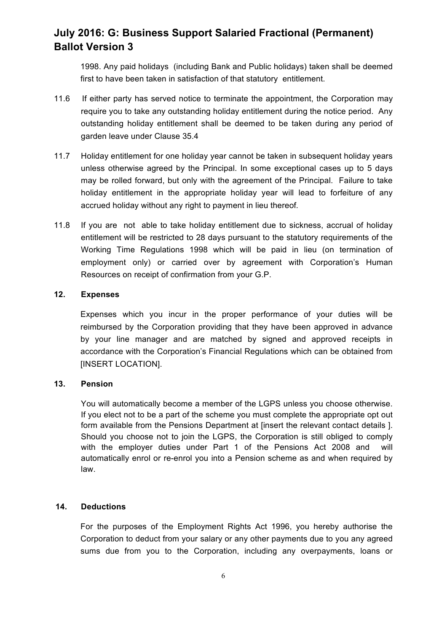1998. Any paid holidays (including Bank and Public holidays) taken shall be deemed first to have been taken in satisfaction of that statutory entitlement.

- 11.6 If either party has served notice to terminate the appointment, the Corporation may require you to take any outstanding holiday entitlement during the notice period. Any outstanding holiday entitlement shall be deemed to be taken during any period of garden leave under Clause 35.4
- 11.7 Holiday entitlement for one holiday year cannot be taken in subsequent holiday years unless otherwise agreed by the Principal. In some exceptional cases up to 5 days may be rolled forward, but only with the agreement of the Principal. Failure to take holiday entitlement in the appropriate holiday year will lead to forfeiture of any accrued holiday without any right to payment in lieu thereof*.*
- 11.8 If you are not able to take holiday entitlement due to sickness, accrual of holiday entitlement will be restricted to 28 days pursuant to the statutory requirements of the Working Time Regulations 1998 which will be paid in lieu (on termination of employment only) or carried over by agreement with Corporation's Human Resources on receipt of confirmation from your G.P.

#### **12. Expenses**

Expenses which you incur in the proper performance of your duties will be reimbursed by the Corporation providing that they have been approved in advance by your line manager and are matched by signed and approved receipts in accordance with the Corporation's Financial Regulations which can be obtained from [INSERT LOCATION].

### **13. Pension**

You will automatically become a member of the LGPS unless you choose otherwise. If you elect not to be a part of the scheme you must complete the appropriate opt out form available from the Pensions Department at [insert the relevant contact details ]. Should you choose not to join the LGPS, the Corporation is still obliged to comply with the employer duties under Part 1 of the Pensions Act 2008 and will automatically enrol or re-enrol you into a Pension scheme as and when required by law.

### **14. Deductions**

For the purposes of the Employment Rights Act 1996, you hereby authorise the Corporation to deduct from your salary or any other payments due to you any agreed sums due from you to the Corporation, including any overpayments, loans or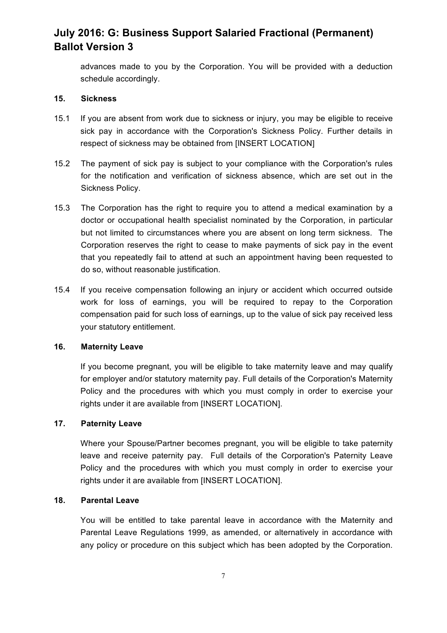advances made to you by the Corporation. You will be provided with a deduction schedule accordingly.

### **15. Sickness**

- 15.1 If you are absent from work due to sickness or injury, you may be eligible to receive sick pay in accordance with the Corporation's Sickness Policy. Further details in respect of sickness may be obtained from [INSERT LOCATION]
- 15.2 The payment of sick pay is subject to your compliance with the Corporation's rules for the notification and verification of sickness absence, which are set out in the Sickness Policy.
- 15.3 The Corporation has the right to require you to attend a medical examination by a doctor or occupational health specialist nominated by the Corporation, in particular but not limited to circumstances where you are absent on long term sickness. The Corporation reserves the right to cease to make payments of sick pay in the event that you repeatedly fail to attend at such an appointment having been requested to do so, without reasonable justification.
- 15.4 If you receive compensation following an injury or accident which occurred outside work for loss of earnings, you will be required to repay to the Corporation compensation paid for such loss of earnings, up to the value of sick pay received less your statutory entitlement.

#### **16. Maternity Leave**

If you become pregnant, you will be eligible to take maternity leave and may qualify for employer and/or statutory maternity pay. Full details of the Corporation's Maternity Policy and the procedures with which you must comply in order to exercise your rights under it are available from [INSERT LOCATION].

## **17. Paternity Leave**

Where your Spouse/Partner becomes pregnant, you will be eligible to take paternity leave and receive paternity pay. Full details of the Corporation's Paternity Leave Policy and the procedures with which you must comply in order to exercise your rights under it are available from [INSERT LOCATION].

#### **18. Parental Leave**

You will be entitled to take parental leave in accordance with the Maternity and Parental Leave Regulations 1999, as amended, or alternatively in accordance with any policy or procedure on this subject which has been adopted by the Corporation.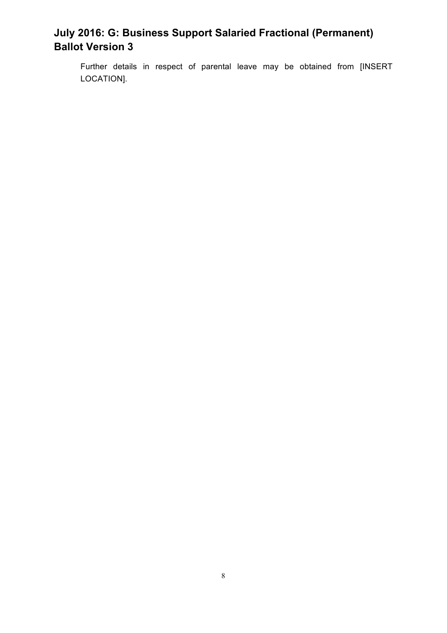Further details in respect of parental leave may be obtained from [INSERT LOCATION].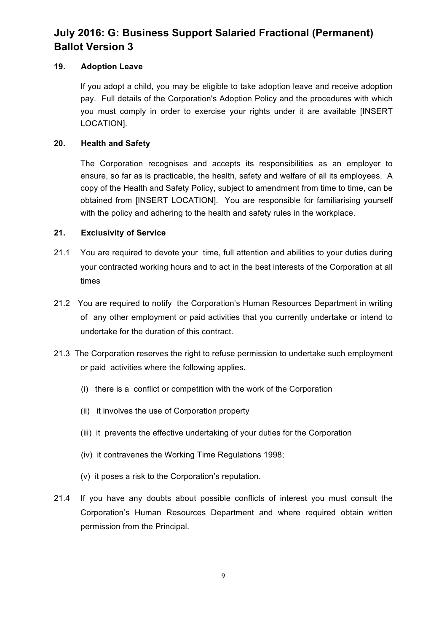## **19. Adoption Leave**

If you adopt a child, you may be eligible to take adoption leave and receive adoption pay. Full details of the Corporation's Adoption Policy and the procedures with which you must comply in order to exercise your rights under it are available [INSERT LOCATION].

## **20. Health and Safety**

The Corporation recognises and accepts its responsibilities as an employer to ensure, so far as is practicable, the health, safety and welfare of all its employees. A copy of the Health and Safety Policy, subject to amendment from time to time, can be obtained from [INSERT LOCATION]. You are responsible for familiarising yourself with the policy and adhering to the health and safety rules in the workplace.

## **21. Exclusivity of Service**

- 21.1 You are required to devote your time, full attention and abilities to your duties during your contracted working hours and to act in the best interests of the Corporation at all times
- 21.2 You are required to notify the Corporation's Human Resources Department in writing of any other employment or paid activities that you currently undertake or intend to undertake for the duration of this contract.
- 21.3 The Corporation reserves the right to refuse permission to undertake such employment or paid activities where the following applies.
	- (i) there is a conflict or competition with the work of the Corporation
	- (ii) it involves the use of Corporation property
	- (iii) it prevents the effective undertaking of your duties for the Corporation
	- (iv) it contravenes the Working Time Regulations 1998;
	- (v) it poses a risk to the Corporation's reputation.
- 21.4 If you have any doubts about possible conflicts of interest you must consult the Corporation's Human Resources Department and where required obtain written permission from the Principal.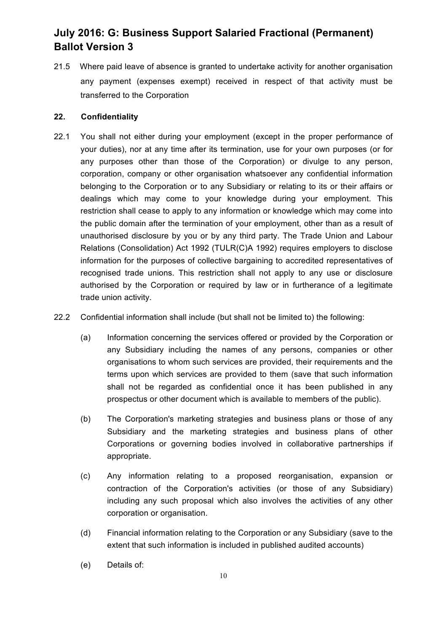21.5 Where paid leave of absence is granted to undertake activity for another organisation any payment (expenses exempt) received in respect of that activity must be transferred to the Corporation

### **22. Confidentiality**

- 22.1 You shall not either during your employment (except in the proper performance of your duties), nor at any time after its termination, use for your own purposes (or for any purposes other than those of the Corporation) or divulge to any person, corporation, company or other organisation whatsoever any confidential information belonging to the Corporation or to any Subsidiary or relating to its or their affairs or dealings which may come to your knowledge during your employment. This restriction shall cease to apply to any information or knowledge which may come into the public domain after the termination of your employment, other than as a result of unauthorised disclosure by you or by any third party. The Trade Union and Labour Relations (Consolidation) Act 1992 (TULR(C)A 1992) requires employers to disclose information for the purposes of collective bargaining to accredited representatives of recognised trade unions. This restriction shall not apply to any use or disclosure authorised by the Corporation or required by law or in furtherance of a legitimate trade union activity.
- 22.2 Confidential information shall include (but shall not be limited to) the following:
	- (a) Information concerning the services offered or provided by the Corporation or any Subsidiary including the names of any persons, companies or other organisations to whom such services are provided, their requirements and the terms upon which services are provided to them (save that such information shall not be regarded as confidential once it has been published in any prospectus or other document which is available to members of the public).
	- (b) The Corporation's marketing strategies and business plans or those of any Subsidiary and the marketing strategies and business plans of other Corporations or governing bodies involved in collaborative partnerships if appropriate.
	- (c) Any information relating to a proposed reorganisation, expansion or contraction of the Corporation's activities (or those of any Subsidiary) including any such proposal which also involves the activities of any other corporation or organisation.
	- (d) Financial information relating to the Corporation or any Subsidiary (save to the extent that such information is included in published audited accounts)
	- (e) Details of: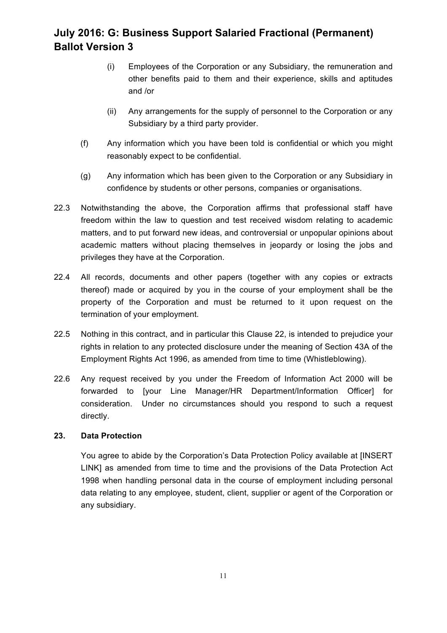- (i) Employees of the Corporation or any Subsidiary, the remuneration and other benefits paid to them and their experience, skills and aptitudes and /or
- (ii) Any arrangements for the supply of personnel to the Corporation or any Subsidiary by a third party provider.
- (f) Any information which you have been told is confidential or which you might reasonably expect to be confidential.
- (g) Any information which has been given to the Corporation or any Subsidiary in confidence by students or other persons, companies or organisations.
- 22.3 Notwithstanding the above, the Corporation affirms that professional staff have freedom within the law to question and test received wisdom relating to academic matters, and to put forward new ideas, and controversial or unpopular opinions about academic matters without placing themselves in jeopardy or losing the jobs and privileges they have at the Corporation.
- 22.4 All records, documents and other papers (together with any copies or extracts thereof) made or acquired by you in the course of your employment shall be the property of the Corporation and must be returned to it upon request on the termination of your employment.
- 22.5 Nothing in this contract, and in particular this Clause 22, is intended to prejudice your rights in relation to any protected disclosure under the meaning of Section 43A of the Employment Rights Act 1996, as amended from time to time (Whistleblowing).
- 22.6 Any request received by you under the Freedom of Information Act 2000 will be forwarded to [your Line Manager/HR Department/Information Officer] for consideration. Under no circumstances should you respond to such a request directly.

### **23. Data Protection**

You agree to abide by the Corporation's Data Protection Policy available at [INSERT LINK] as amended from time to time and the provisions of the Data Protection Act 1998 when handling personal data in the course of employment including personal data relating to any employee, student, client, supplier or agent of the Corporation or any subsidiary.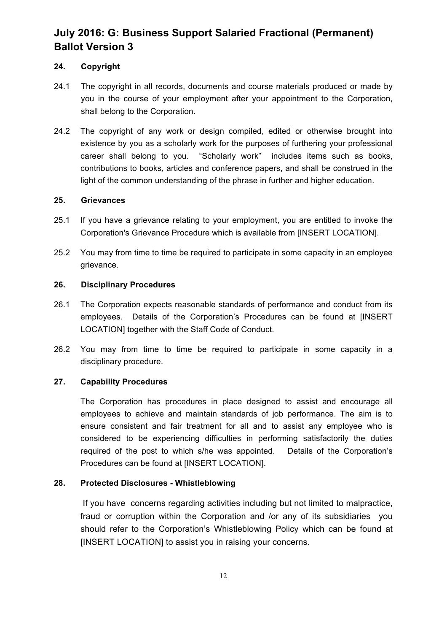## **24. Copyright**

- 24.1 The copyright in all records, documents and course materials produced or made by you in the course of your employment after your appointment to the Corporation, shall belong to the Corporation.
- 24.2 The copyright of any work or design compiled, edited or otherwise brought into existence by you as a scholarly work for the purposes of furthering your professional career shall belong to you. "Scholarly work" includes items such as books, contributions to books, articles and conference papers, and shall be construed in the light of the common understanding of the phrase in further and higher education.

### **25. Grievances**

- 25.1 If you have a grievance relating to your employment, you are entitled to invoke the Corporation's Grievance Procedure which is available from [INSERT LOCATION].
- 25.2 You may from time to time be required to participate in some capacity in an employee grievance.

### **26. Disciplinary Procedures**

- 26.1 The Corporation expects reasonable standards of performance and conduct from its employees. Details of the Corporation's Procedures can be found at [INSERT LOCATION] together with the Staff Code of Conduct.
- 26.2 You may from time to time be required to participate in some capacity in a disciplinary procedure.

### **27. Capability Procedures**

The Corporation has procedures in place designed to assist and encourage all employees to achieve and maintain standards of job performance. The aim is to ensure consistent and fair treatment for all and to assist any employee who is considered to be experiencing difficulties in performing satisfactorily the duties required of the post to which s/he was appointed. Details of the Corporation's Procedures can be found at [INSERT LOCATION].

### **28. Protected Disclosures - Whistleblowing**

If you have concerns regarding activities including but not limited to malpractice, fraud or corruption within the Corporation and /or any of its subsidiaries you should refer to the Corporation's Whistleblowing Policy which can be found at [INSERT LOCATION] to assist you in raising your concerns.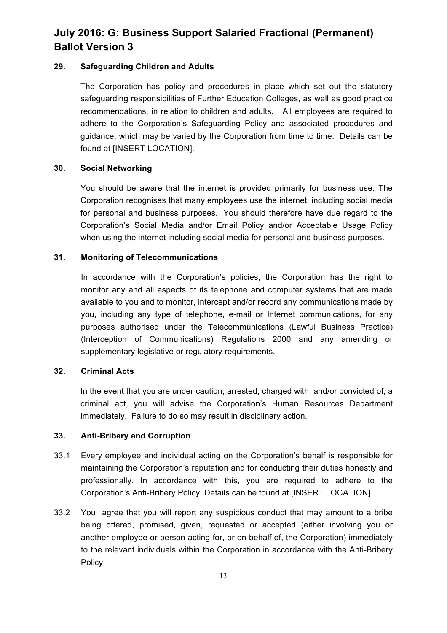### **29. Safeguarding Children and Adults**

The Corporation has policy and procedures in place which set out the statutory safeguarding responsibilities of Further Education Colleges, as well as good practice recommendations, in relation to children and adults. All employees are required to adhere to the Corporation's Safeguarding Policy and associated procedures and guidance, which may be varied by the Corporation from time to time. Details can be found at [INSERT LOCATION].

### **30. Social Networking**

You should be aware that the internet is provided primarily for business use. The Corporation recognises that many employees use the internet, including social media for personal and business purposes. You should therefore have due regard to the Corporation's Social Media and/or Email Policy and/or Acceptable Usage Policy when using the internet including social media for personal and business purposes.

## **31. Monitoring of Telecommunications**

In accordance with the Corporation's policies, the Corporation has the right to monitor any and all aspects of its telephone and computer systems that are made available to you and to monitor, intercept and/or record any communications made by you, including any type of telephone, e-mail or Internet communications, for any purposes authorised under the Telecommunications (Lawful Business Practice) (Interception of Communications) Regulations 2000 and any amending or supplementary legislative or regulatory requirements.

### **32. Criminal Acts**

In the event that you are under caution, arrested, charged with, and/or convicted of, a criminal act, you will advise the Corporation's Human Resources Department immediately. Failure to do so may result in disciplinary action.

### **33. Anti-Bribery and Corruption**

- 33.1 Every employee and individual acting on the Corporation's behalf is responsible for maintaining the Corporation's reputation and for conducting their duties honestly and professionally. In accordance with this, you are required to adhere to the Corporation's Anti-Bribery Policy. Details can be found at [INSERT LOCATION].
- 33.2 You agree that you will report any suspicious conduct that may amount to a bribe being offered, promised, given, requested or accepted (either involving you or another employee or person acting for, or on behalf of, the Corporation) immediately to the relevant individuals within the Corporation in accordance with the Anti-Bribery Policy.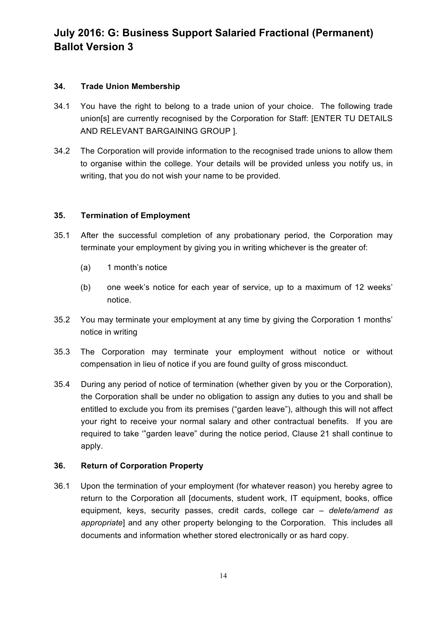## **34. Trade Union Membership**

- 34.1 You have the right to belong to a trade union of your choice. The following trade union[s] are currently recognised by the Corporation for Staff: [ENTER TU DETAILS AND RELEVANT BARGAINING GROUP ].
- 34.2 The Corporation will provide information to the recognised trade unions to allow them to organise within the college. Your details will be provided unless you notify us, in writing, that you do not wish your name to be provided.

## **35. Termination of Employment**

- 35.1 After the successful completion of any probationary period, the Corporation may terminate your employment by giving you in writing whichever is the greater of:
	- (a) 1 month's notice
	- (b) one week's notice for each year of service, up to a maximum of 12 weeks' notice.
- 35.2 You may terminate your employment at any time by giving the Corporation 1 months' notice in writing
- 35.3 The Corporation may terminate your employment without notice or without compensation in lieu of notice if you are found guilty of gross misconduct.
- 35.4 During any period of notice of termination (whether given by you or the Corporation), the Corporation shall be under no obligation to assign any duties to you and shall be entitled to exclude you from its premises ("garden leave"), although this will not affect your right to receive your normal salary and other contractual benefits. If you are required to take '"garden leave" during the notice period, Clause 21 shall continue to apply.

## **36. Return of Corporation Property**

36.1 Upon the termination of your employment (for whatever reason) you hereby agree to return to the Corporation all [documents, student work, IT equipment, books, office equipment, keys, security passes, credit cards, college car *– delete/amend as appropriate*] and any other property belonging to the Corporation. This includes all documents and information whether stored electronically or as hard copy.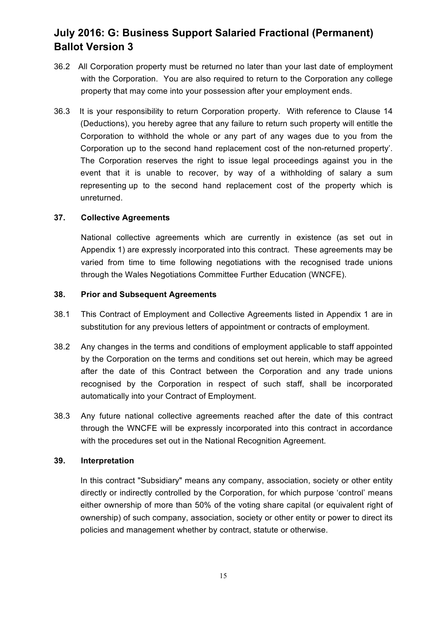- 36.2 All Corporation property must be returned no later than your last date of employment with the Corporation. You are also required to return to the Corporation any college property that may come into your possession after your employment ends.
- 36.3 It is your responsibility to return Corporation property. With reference to Clause 14 (Deductions), you hereby agree that any failure to return such property will entitle the Corporation to withhold the whole or any part of any wages due to you from the Corporation up to the second hand replacement cost of the non-returned property'. The Corporation reserves the right to issue legal proceedings against you in the event that it is unable to recover, by way of a withholding of salary a sum representing up to the second hand replacement cost of the property which is unreturned.

#### **37. Collective Agreements**

National collective agreements which are currently in existence (as set out in Appendix 1) are expressly incorporated into this contract. These agreements may be varied from time to time following negotiations with the recognised trade unions through the Wales Negotiations Committee Further Education (WNCFE).

#### **38. Prior and Subsequent Agreements**

- 38.1 This Contract of Employment and Collective Agreements listed in Appendix 1 are in substitution for any previous letters of appointment or contracts of employment.
- 38.2 Any changes in the terms and conditions of employment applicable to staff appointed by the Corporation on the terms and conditions set out herein, which may be agreed after the date of this Contract between the Corporation and any trade unions recognised by the Corporation in respect of such staff, shall be incorporated automatically into your Contract of Employment.
- 38.3 Any future national collective agreements reached after the date of this contract through the WNCFE will be expressly incorporated into this contract in accordance with the procedures set out in the National Recognition Agreement.

### **39. Interpretation**

In this contract "Subsidiary" means any company, association, society or other entity directly or indirectly controlled by the Corporation, for which purpose 'control' means either ownership of more than 50% of the voting share capital (or equivalent right of ownership) of such company, association, society or other entity or power to direct its policies and management whether by contract, statute or otherwise.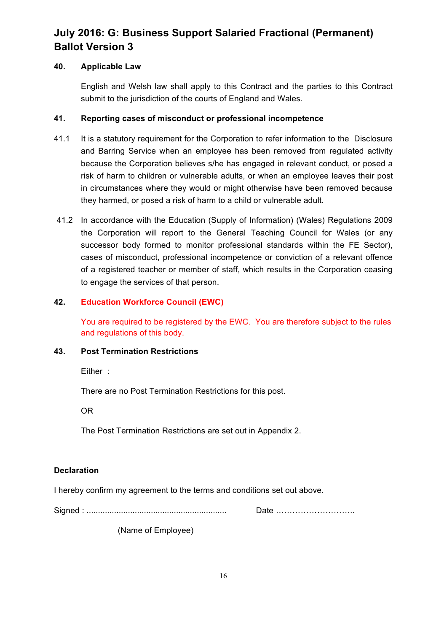## **40. Applicable Law**

English and Welsh law shall apply to this Contract and the parties to this Contract submit to the jurisdiction of the courts of England and Wales.

## **41. Reporting cases of misconduct or professional incompetence**

- 41.1 It is a statutory requirement for the Corporation to refer information to the Disclosure and Barring Service when an employee has been removed from regulated activity because the Corporation believes s/he has engaged in relevant conduct, or posed a risk of harm to children or vulnerable adults, or when an employee leaves their post in circumstances where they would or might otherwise have been removed because they harmed, or posed a risk of harm to a child or vulnerable adult.
- 41.2 In accordance with the Education (Supply of Information) (Wales) Regulations 2009 the Corporation will report to the General Teaching Council for Wales (or any successor body formed to monitor professional standards within the FE Sector), cases of misconduct, professional incompetence or conviction of a relevant offence of a registered teacher or member of staff, which results in the Corporation ceasing to engage the services of that person.

## **42. Education Workforce Council (EWC)**

You are required to be registered by the EWC. You are therefore subject to the rules and regulations of this body.

### **43. Post Termination Restrictions**

Either :

There are no Post Termination Restrictions for this post.

OR

The Post Termination Restrictions are set out in Appendix 2.

## **Declaration**

I hereby confirm my agreement to the terms and conditions set out above.

Signed : ............................................................. Date ………………………..

(Name of Employee)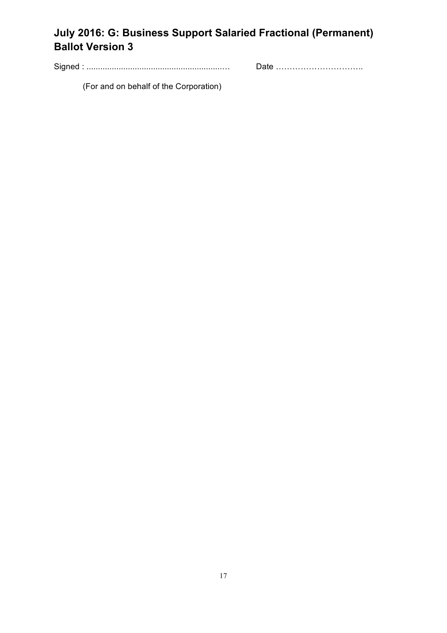Signed : ...........................................................… Date …………………………..

(For and on behalf of the Corporation)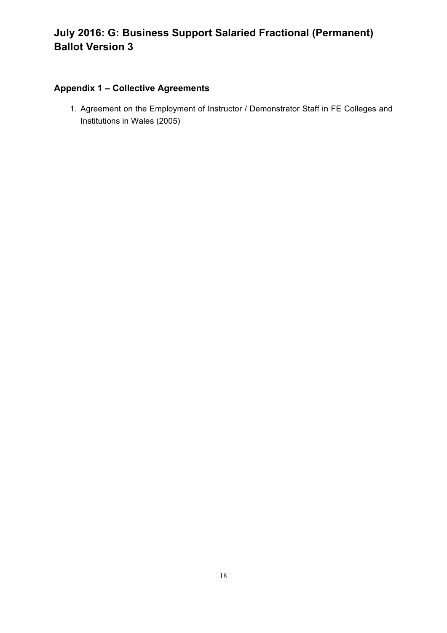## **Appendix 1 – Collective Agreements**

1. Agreement on the Employment of Instructor / Demonstrator Staff in FE Colleges and Institutions in Wales (2005)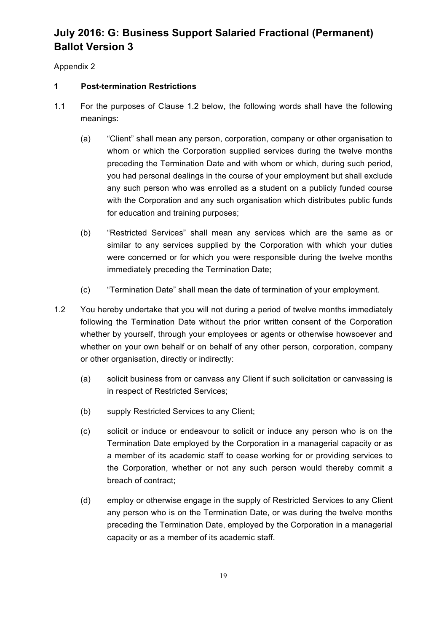Appendix 2

## **1 Post-termination Restrictions**

- 1.1 For the purposes of Clause 1.2 below, the following words shall have the following meanings:
	- (a) "Client" shall mean any person, corporation, company or other organisation to whom or which the Corporation supplied services during the twelve months preceding the Termination Date and with whom or which, during such period, you had personal dealings in the course of your employment but shall exclude any such person who was enrolled as a student on a publicly funded course with the Corporation and any such organisation which distributes public funds for education and training purposes;
	- (b) "Restricted Services" shall mean any services which are the same as or similar to any services supplied by the Corporation with which your duties were concerned or for which you were responsible during the twelve months immediately preceding the Termination Date;
	- (c) "Termination Date" shall mean the date of termination of your employment.
- 1.2 You hereby undertake that you will not during a period of twelve months immediately following the Termination Date without the prior written consent of the Corporation whether by yourself, through your employees or agents or otherwise howsoever and whether on your own behalf or on behalf of any other person, corporation, company or other organisation, directly or indirectly:
	- (a) solicit business from or canvass any Client if such solicitation or canvassing is in respect of Restricted Services;
	- (b) supply Restricted Services to any Client;
	- (c) solicit or induce or endeavour to solicit or induce any person who is on the Termination Date employed by the Corporation in a managerial capacity or as a member of its academic staff to cease working for or providing services to the Corporation, whether or not any such person would thereby commit a breach of contract;
	- (d) employ or otherwise engage in the supply of Restricted Services to any Client any person who is on the Termination Date, or was during the twelve months preceding the Termination Date, employed by the Corporation in a managerial capacity or as a member of its academic staff.